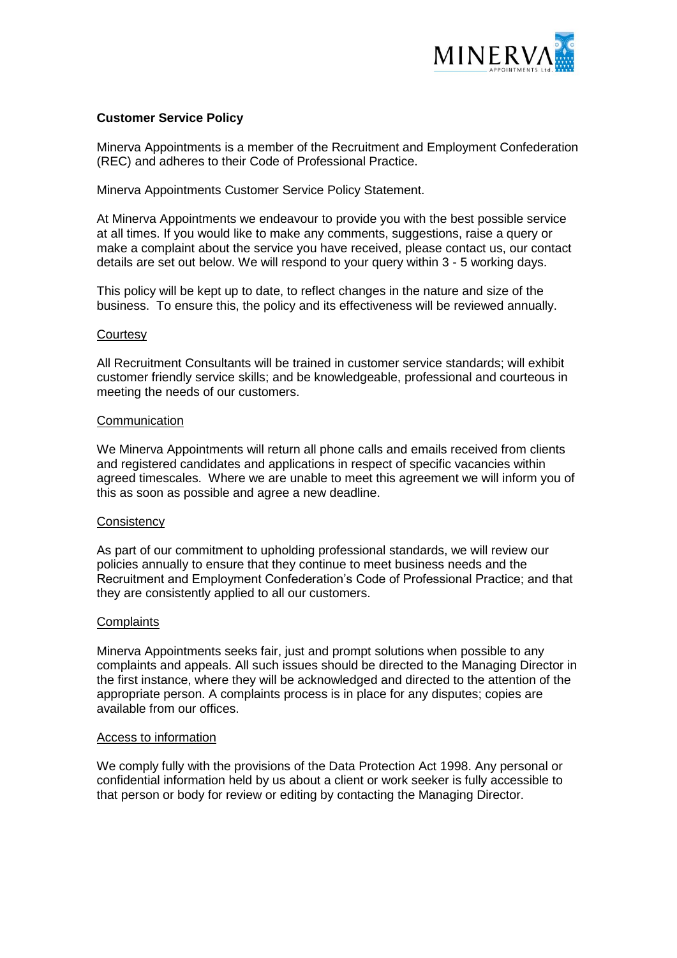

# **Customer Service Policy**

Minerva Appointments is a member of the Recruitment and Employment Confederation (REC) and adheres to their Code of Professional Practice.

Minerva Appointments Customer Service Policy Statement.

At Minerva Appointments we endeavour to provide you with the best possible service at all times. If you would like to make any comments, suggestions, raise a query or make a complaint about the service you have received, please contact us, our contact details are set out below. We will respond to your query within 3 - 5 working days.

This policy will be kept up to date, to reflect changes in the nature and size of the business. To ensure this, the policy and its effectiveness will be reviewed annually.

### **Courtesy**

All Recruitment Consultants will be trained in customer service standards; will exhibit customer friendly service skills; and be knowledgeable, professional and courteous in meeting the needs of our customers.

### **Communication**

We Minerva Appointments will return all phone calls and emails received from clients and registered candidates and applications in respect of specific vacancies within agreed timescales. Where we are unable to meet this agreement we will inform you of this as soon as possible and agree a new deadline.

### **Consistency**

As part of our commitment to upholding professional standards, we will review our policies annually to ensure that they continue to meet business needs and the Recruitment and Employment Confederation's Code of Professional Practice; and that they are consistently applied to all our customers.

## **Complaints**

Minerva Appointments seeks fair, just and prompt solutions when possible to any complaints and appeals. All such issues should be directed to the Managing Director in the first instance, where they will be acknowledged and directed to the attention of the appropriate person. A complaints process is in place for any disputes; copies are available from our offices.

### Access to information

We comply fully with the provisions of the Data Protection Act 1998. Any personal or confidential information held by us about a client or work seeker is fully accessible to that person or body for review or editing by contacting the Managing Director.